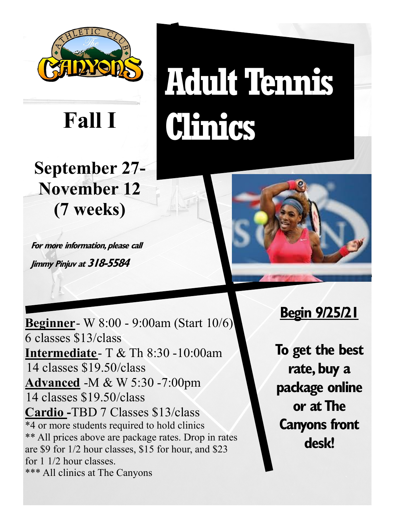

**September 27- November 12 (7 weeks)**

**For more information, please call Jimmy Pinjuv at 318-5584**

**Adult Tennis Clinics Fall I**



**Beginner**- W 8:00 - 9:00am (Start 10/6) 6 classes \$13/class **Intermediate**- T & Th 8:30 -10:00am 14 classes \$19.50/class **Advanced** -M & W 5:30 -7:00pm 14 classes \$19.50/class **Cardio -**TBD 7 Classes \$13/class \*4 or more students required to hold clinics \*\* All prices above are package rates. Drop in rates are \$9 for 1/2 hour classes, \$15 for hour, and \$23 for 1 1/2 hour classes. \*\*\* All clinics at The Canyons

# **Begin 9/25/21**

**To get the best rate, buy a package online or at The Canyons front desk!**